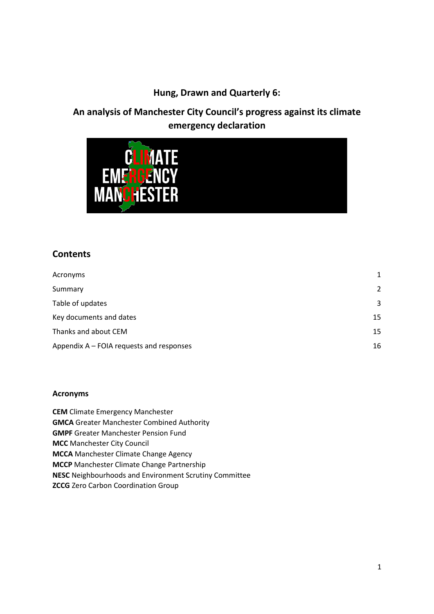## **Hung, Drawn and Quarterly 6:**

# **An analysis of Manchester City Council's progress against its climate emergency declaration**



### **Contents**

| Acronyms                                 | 1              |
|------------------------------------------|----------------|
| Summary                                  | $\overline{2}$ |
| Table of updates                         | 3              |
| Key documents and dates                  | 15             |
| Thanks and about CEM                     | 15             |
| Appendix A – FOIA requests and responses | 16             |

### <span id="page-0-0"></span>**Acronyms**

**CEM** Climate Emergency Manchester **GMCA** Greater Manchester Combined Authority **GMPF** Greater Manchester Pension Fund **MCC** Manchester City Council **MCCA** Manchester Climate Change Agency **MCCP** Manchester Climate Change Partnership **NESC** Neighbourhoods and Environment Scrutiny Committee **ZCCG** Zero Carbon Coordination Group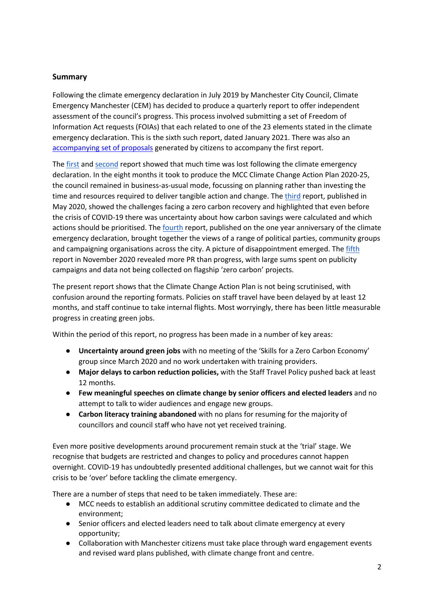### <span id="page-1-0"></span>**Summary**

Following the climate emergency declaration in July 2019 by Manchester City Council, Climate Emergency Manchester (CEM) has decided to produce a quarterly report to offer independent assessment of the council's progress. This process involved submitting a set of Freedom of Information Act requests (FOIAs) that each related to one of the 23 elements stated in the climate emergency declaration. This is the sixth such report, dated January 2021. There was also an [accompanying set of proposals](http://s521233466.websitehome.co.uk/wp-content/uploads/2019/10/cem-with-love-and-rocketst-2019-10-21.pdf) generated by citizens to accompany the first report.

The [first](https://climateemergencymanchester.net/wp-content/uploads/2019/10/hung-drawn-and-quarterly-01-final..pdf) an[d second](https://climateemergencymanchester.net/2020/01/07/6-months-since-manchester-city-council-declared-a-climate-emergency-virtually-nothing-done/) report showed that much time was lost following the climate emergency declaration. In the eight months it took to produce the MCC Climate Change Action Plan 2020-25, the council remained in business-as-usual mode, focussing on planning rather than investing the time and resources required to deliver tangible action and change. The [third](https://climateemergencymanchester.net/2020/05/20/new-report-shows-challenges-facing-manchesters-zero-carbon-recovery/) report, published in May 2020, showed the challenges facing a zero carbon recovery and highlighted that even before the crisis of COVID-19 there was uncertainty about how carbon savings were calculated and which actions should be prioritised. The [fourth](https://climateemergencymanchester.net/wp-content/uploads/2020/07/J10-Report.pdf) report, published on the one year anniversary of the climate emergency declaration, brought together the views of a range of political parties, community groups and campaigning organisations across the city. A picture of disappointment emerged. The fifth report in November 2020 revealed more PR than progress, with large sums spent on publicity campaigns and data not being collected on flagship 'zero carbon' projects.

The present report shows that the Climate Change Action Plan is not being scrutinised, with confusion around the reporting formats. Policies on staff travel have been delayed by at least 12 months, and staff continue to take internal flights. Most worryingly, there has been little measurable progress in creating green jobs.

Within the period of this report, no progress has been made in a number of key areas:

- **Uncertainty around green jobs** with no meeting of the 'Skills for a Zero Carbon Economy' group since March 2020 and no work undertaken with training providers.
- **Major delays to carbon reduction policies,** with the Staff Travel Policy pushed back at least 12 months.
- **Few meaningful speeches on climate change by senior officers and elected leaders** and no attempt to talk to wider audiences and engage new groups.
- **Carbon literacy training abandoned** with no plans for resuming for the majority of councillors and council staff who have not yet received training.

Even more positive developments around procurement remain stuck at the 'trial' stage. We recognise that budgets are restricted and changes to policy and procedures cannot happen overnight. COVID-19 has undoubtedly presented additional challenges, but we cannot wait for this crisis to be 'over' before tackling the climate emergency.

There are a number of steps that need to be taken immediately. These are:

- MCC needs to establish an additional scrutiny committee dedicated to climate and the environment;
- Senior officers and elected leaders need to talk about climate emergency at every opportunity;
- Collaboration with Manchester citizens must take place through ward engagement events and revised ward plans published, with climate change front and centre.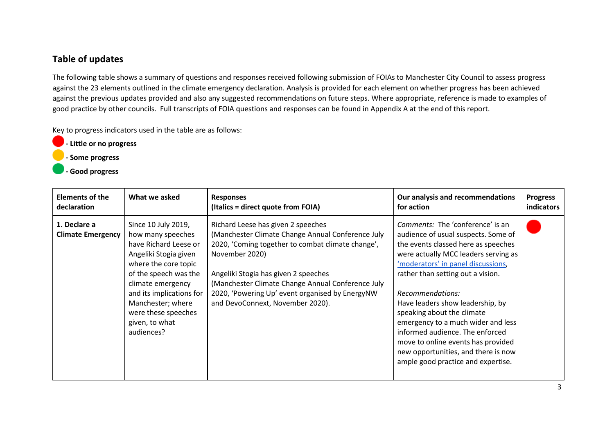## **Table of updates**

The following table shows a summary of questions and responses received following submission of FOIAs to Manchester City Council to assess progress against the 23 elements outlined in the climate emergency declaration. Analysis is provided for each element on whether progress has been achieved against the previous updates provided and also any suggested recommendations on future steps. Where appropriate, reference is made to examples of good practice by other councils. Full transcripts of FOIA questions and responses can be found in Appendix A at the end of this report.

Key to progress indicators used in the table are as follows:

- **Little or no progress**
- **Some progress**
- **Good progress**

<span id="page-2-0"></span>

| <b>Elements of the</b>                   | What we asked                                                                                                                                                                                                                                                            | <b>Responses</b>                                                                                                                                                                                                                                                                                                                                   | Our analysis and recommendations                                                                                                                                                                                                                                                                                                                                                                                                                                                                                    | <b>Progress</b> |
|------------------------------------------|--------------------------------------------------------------------------------------------------------------------------------------------------------------------------------------------------------------------------------------------------------------------------|----------------------------------------------------------------------------------------------------------------------------------------------------------------------------------------------------------------------------------------------------------------------------------------------------------------------------------------------------|---------------------------------------------------------------------------------------------------------------------------------------------------------------------------------------------------------------------------------------------------------------------------------------------------------------------------------------------------------------------------------------------------------------------------------------------------------------------------------------------------------------------|-----------------|
| declaration                              |                                                                                                                                                                                                                                                                          | (Italics = direct quote from FOIA)                                                                                                                                                                                                                                                                                                                 | for action                                                                                                                                                                                                                                                                                                                                                                                                                                                                                                          | indicators      |
| 1. Declare a<br><b>Climate Emergency</b> | Since 10 July 2019,<br>how many speeches<br>have Richard Leese or<br>Angeliki Stogia given<br>where the core topic<br>of the speech was the<br>climate emergency<br>and its implications for<br>Manchester; where<br>were these speeches<br>given, to what<br>audiences? | Richard Leese has given 2 speeches<br>(Manchester Climate Change Annual Conference July<br>2020, 'Coming together to combat climate change',<br>November 2020)<br>Angeliki Stogia has given 2 speeches<br>(Manchester Climate Change Annual Conference July<br>2020, 'Powering Up' event organised by EnergyNW<br>and DevoConnext, November 2020). | Comments: The 'conference' is an<br>audience of usual suspects. Some of<br>the events classed here as speeches<br>were actually MCC leaders serving as<br>'moderators' in panel discussions,<br>rather than setting out a vision.<br>Recommendations:<br>Have leaders show leadership, by<br>speaking about the climate<br>emergency to a much wider and less<br>informed audience. The enforced<br>move to online events has provided<br>new opportunities, and there is now<br>ample good practice and expertise. |                 |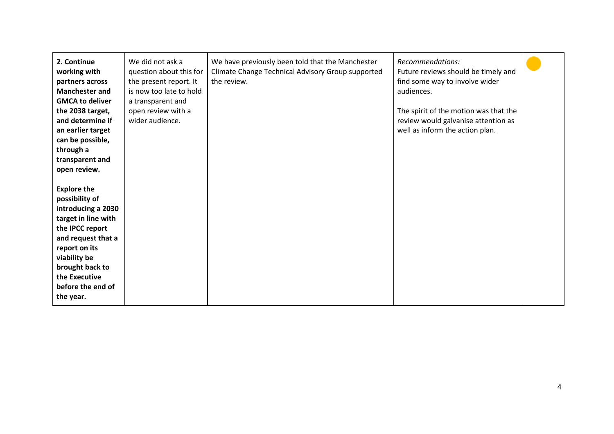| 2. Continue<br>working with<br>partners across<br><b>Manchester and</b><br><b>GMCA to deliver</b><br>the 2038 target,<br>and determine if<br>an earlier target<br>can be possible,<br>through a<br>transparent and<br>open review. | We did not ask a<br>question about this for<br>the present report. It<br>is now too late to hold<br>a transparent and<br>open review with a<br>wider audience. | We have previously been told that the Manchester<br>Climate Change Technical Advisory Group supported<br>the review. | Recommendations:<br>Future reviews should be timely and<br>find some way to involve wider<br>audiences.<br>The spirit of the motion was that the<br>review would galvanise attention as<br>well as inform the action plan. |  |
|------------------------------------------------------------------------------------------------------------------------------------------------------------------------------------------------------------------------------------|----------------------------------------------------------------------------------------------------------------------------------------------------------------|----------------------------------------------------------------------------------------------------------------------|----------------------------------------------------------------------------------------------------------------------------------------------------------------------------------------------------------------------------|--|
| <b>Explore the</b><br>possibility of<br>introducing a 2030<br>target in line with<br>the IPCC report<br>and request that a<br>report on its<br>viability be<br>brought back to<br>the Executive<br>before the end of<br>the year.  |                                                                                                                                                                |                                                                                                                      |                                                                                                                                                                                                                            |  |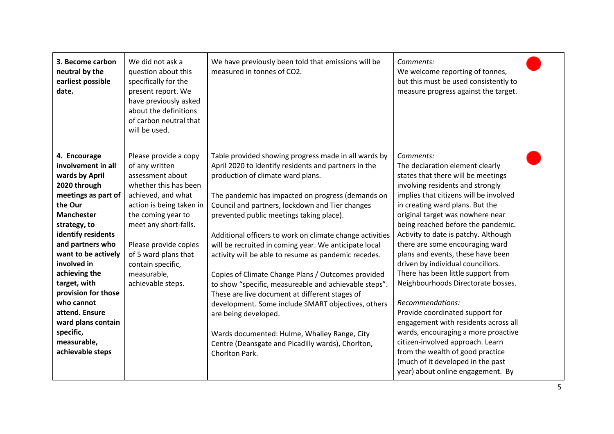| 3. Become carbon<br>neutral by the<br>earliest possible<br>date.                                                                                                                                                                                                                                                                                                                          | We did not ask a<br>question about this<br>specifically for the<br>present report. We<br>have previously asked<br>about the definitions<br>of carbon neutral that<br>will be used.                                                                                                              | We have previously been told that emissions will be<br>measured in tonnes of CO2.                                                                                                                                                                                                                                                                                                                                                                                                                                                                                                                                                                                                                                                                                                                                                                        | Comments:<br>We welcome reporting of tonnes,<br>but this must be used consistently to<br>measure progress against the target.                                                                                                                                                                                                                                                                                                                                                                                                                                                                                                                                                                                                                                                                          |  |
|-------------------------------------------------------------------------------------------------------------------------------------------------------------------------------------------------------------------------------------------------------------------------------------------------------------------------------------------------------------------------------------------|-------------------------------------------------------------------------------------------------------------------------------------------------------------------------------------------------------------------------------------------------------------------------------------------------|----------------------------------------------------------------------------------------------------------------------------------------------------------------------------------------------------------------------------------------------------------------------------------------------------------------------------------------------------------------------------------------------------------------------------------------------------------------------------------------------------------------------------------------------------------------------------------------------------------------------------------------------------------------------------------------------------------------------------------------------------------------------------------------------------------------------------------------------------------|--------------------------------------------------------------------------------------------------------------------------------------------------------------------------------------------------------------------------------------------------------------------------------------------------------------------------------------------------------------------------------------------------------------------------------------------------------------------------------------------------------------------------------------------------------------------------------------------------------------------------------------------------------------------------------------------------------------------------------------------------------------------------------------------------------|--|
| 4. Encourage<br>involvement in all<br>wards by April<br>2020 through<br>meetings as part of<br>the Our<br><b>Manchester</b><br>strategy, to<br>identify residents<br>and partners who<br>want to be actively<br>involved in<br>achieving the<br>target, with<br>provision for those<br>who cannot<br>attend. Ensure<br>ward plans contain<br>specific,<br>measurable,<br>achievable steps | Please provide a copy<br>of any written<br>assessment about<br>whether this has been<br>achieved, and what<br>action is being taken in<br>the coming year to<br>meet any short-falls.<br>Please provide copies<br>of 5 ward plans that<br>contain specific,<br>measurable,<br>achievable steps. | Table provided showing progress made in all wards by<br>April 2020 to identify residents and partners in the<br>production of climate ward plans.<br>The pandemic has impacted on progress (demands on<br>Council and partners, lockdown and Tier changes<br>prevented public meetings taking place).<br>Additional officers to work on climate change activities<br>will be recruited in coming year. We anticipate local<br>activity will be able to resume as pandemic recedes.<br>Copies of Climate Change Plans / Outcomes provided<br>to show "specific, measureable and achievable steps".<br>These are live document at different stages of<br>development. Some include SMART objectives, others<br>are being developed.<br>Wards documented: Hulme, Whalley Range, City<br>Centre (Deansgate and Picadilly wards), Chorlton,<br>Chorlton Park. | Comments:<br>The declaration element clearly<br>states that there will be meetings<br>involving residents and strongly<br>implies that citizens will be involved<br>in creating ward plans. But the<br>original target was nowhere near<br>being reached before the pandemic.<br>Activity to date is patchy. Although<br>there are some encouraging ward<br>plans and events, these have been<br>driven by individual councillors.<br>There has been little support from<br>Neighbourhoods Directorate bosses.<br>Recommendations:<br>Provide coordinated support for<br>engagement with residents across all<br>wards, encouraging a more proactive<br>citizen-involved approach. Learn<br>from the wealth of good practice<br>(much of it developed in the past<br>year) about online engagement. By |  |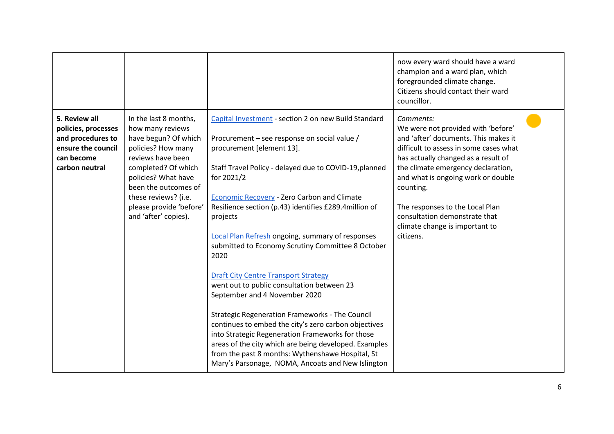|                                                                                                                 |                                                                                                                                                                                                                                                               |                                                                                                                                                                                                                                                                                                                                                                                                                                                                                                                                                                                                                                                                                                                                                                                                                                                                                                                                     | now every ward should have a ward<br>champion and a ward plan, which<br>foregrounded climate change.<br>Citizens should contact their ward<br>councillor.                                                                                                                                                                                                                            |  |
|-----------------------------------------------------------------------------------------------------------------|---------------------------------------------------------------------------------------------------------------------------------------------------------------------------------------------------------------------------------------------------------------|-------------------------------------------------------------------------------------------------------------------------------------------------------------------------------------------------------------------------------------------------------------------------------------------------------------------------------------------------------------------------------------------------------------------------------------------------------------------------------------------------------------------------------------------------------------------------------------------------------------------------------------------------------------------------------------------------------------------------------------------------------------------------------------------------------------------------------------------------------------------------------------------------------------------------------------|--------------------------------------------------------------------------------------------------------------------------------------------------------------------------------------------------------------------------------------------------------------------------------------------------------------------------------------------------------------------------------------|--|
| 5. Review all<br>policies, processes<br>and procedures to<br>ensure the council<br>can become<br>carbon neutral | In the last 8 months,<br>how many reviews<br>have begun? Of which<br>policies? How many<br>reviews have been<br>completed? Of which<br>policies? What have<br>been the outcomes of<br>these reviews? (i.e.<br>please provide 'before'<br>and 'after' copies). | Capital Investment - section 2 on new Build Standard<br>Procurement – see response on social value /<br>procurement [element 13].<br>Staff Travel Policy - delayed due to COVID-19, planned<br>for 2021/2<br><b>Economic Recovery - Zero Carbon and Climate</b><br>Resilience section (p.43) identifies £289.4 million of<br>projects<br><b>Local Plan Refresh ongoing, summary of responses</b><br>submitted to Economy Scrutiny Committee 8 October<br>2020<br><b>Draft City Centre Transport Strategy</b><br>went out to public consultation between 23<br>September and 4 November 2020<br><b>Strategic Regeneration Frameworks - The Council</b><br>continues to embed the city's zero carbon objectives<br>into Strategic Regeneration Frameworks for those<br>areas of the city which are being developed. Examples<br>from the past 8 months: Wythenshawe Hospital, St<br>Mary's Parsonage, NOMA, Ancoats and New Islington | Comments:<br>We were not provided with 'before'<br>and 'after' documents. This makes it<br>difficult to assess in some cases what<br>has actually changed as a result of<br>the climate emergency declaration,<br>and what is ongoing work or double<br>counting.<br>The responses to the Local Plan<br>consultation demonstrate that<br>climate change is important to<br>citizens. |  |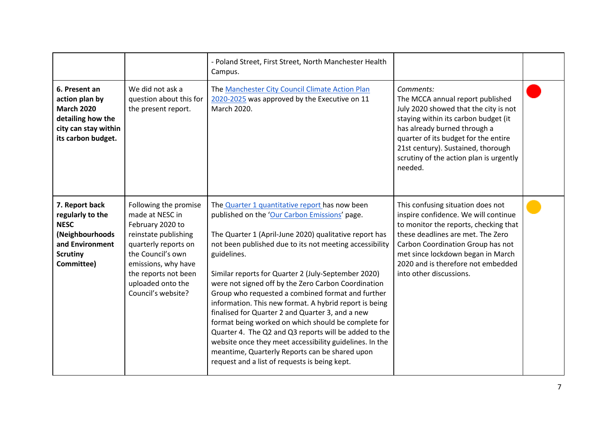|                                                                                                                          |                                                                                                                                                                                                                             | - Poland Street, First Street, North Manchester Health<br>Campus.                                                                                                                                                                                                                                                                                                                                                                                                                                                                                                                                                                                                                                                                                                                                  |                                                                                                                                                                                                                                                                                                    |  |
|--------------------------------------------------------------------------------------------------------------------------|-----------------------------------------------------------------------------------------------------------------------------------------------------------------------------------------------------------------------------|----------------------------------------------------------------------------------------------------------------------------------------------------------------------------------------------------------------------------------------------------------------------------------------------------------------------------------------------------------------------------------------------------------------------------------------------------------------------------------------------------------------------------------------------------------------------------------------------------------------------------------------------------------------------------------------------------------------------------------------------------------------------------------------------------|----------------------------------------------------------------------------------------------------------------------------------------------------------------------------------------------------------------------------------------------------------------------------------------------------|--|
| 6. Present an<br>action plan by<br><b>March 2020</b><br>detailing how the<br>city can stay within<br>its carbon budget.  | We did not ask a<br>question about this for<br>the present report.                                                                                                                                                          | The Manchester City Council Climate Action Plan<br>2020-2025 was approved by the Executive on 11<br>March 2020.                                                                                                                                                                                                                                                                                                                                                                                                                                                                                                                                                                                                                                                                                    | Comments:<br>The MCCA annual report published<br>July 2020 showed that the city is not<br>staying within its carbon budget (it<br>has already burned through a<br>quarter of its budget for the entire<br>21st century). Sustained, thorough<br>scrutiny of the action plan is urgently<br>needed. |  |
| 7. Report back<br>regularly to the<br><b>NESC</b><br>(Neighbourhoods<br>and Environment<br><b>Scrutiny</b><br>Committee) | Following the promise<br>made at NESC in<br>February 2020 to<br>reinstate publishing<br>quarterly reports on<br>the Council's own<br>emissions, why have<br>the reports not been<br>uploaded onto the<br>Council's website? | The Quarter 1 quantitative report has now been<br>published on the 'Our Carbon Emissions' page.<br>The Quarter 1 (April-June 2020) qualitative report has<br>not been published due to its not meeting accessibility<br>guidelines.<br>Similar reports for Quarter 2 (July-September 2020)<br>were not signed off by the Zero Carbon Coordination<br>Group who requested a combined format and further<br>information. This new format. A hybrid report is being<br>finalised for Quarter 2 and Quarter 3, and a new<br>format being worked on which should be complete for<br>Quarter 4. The Q2 and Q3 reports will be added to the<br>website once they meet accessibility guidelines. In the<br>meantime, Quarterly Reports can be shared upon<br>request and a list of requests is being kept. | This confusing situation does not<br>inspire confidence. We will continue<br>to monitor the reports, checking that<br>these deadlines are met. The Zero<br>Carbon Coordination Group has not<br>met since lockdown began in March<br>2020 and is therefore not embedded<br>into other discussions. |  |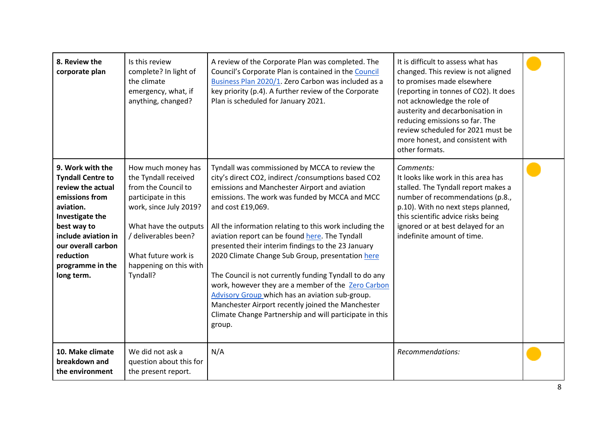| 8. Review the<br>corporate plan                                                                                                                                                                                                | Is this review<br>complete? In light of<br>the climate<br>emergency, what, if<br>anything, changed?                                                                                                                              | A review of the Corporate Plan was completed. The<br>Council's Corporate Plan is contained in the Council<br>Business Plan 2020/1. Zero Carbon was included as a<br>key priority (p.4). A further review of the Corporate<br>Plan is scheduled for January 2021.                                                                                                                                                                                                                                                                                                                                                                                                                                                                                   | It is difficult to assess what has<br>changed. This review is not aligned<br>to promises made elsewhere<br>(reporting in tonnes of CO2). It does<br>not acknowledge the role of<br>austerity and decarbonisation in<br>reducing emissions so far. The<br>review scheduled for 2021 must be<br>more honest, and consistent with<br>other formats. |  |
|--------------------------------------------------------------------------------------------------------------------------------------------------------------------------------------------------------------------------------|----------------------------------------------------------------------------------------------------------------------------------------------------------------------------------------------------------------------------------|----------------------------------------------------------------------------------------------------------------------------------------------------------------------------------------------------------------------------------------------------------------------------------------------------------------------------------------------------------------------------------------------------------------------------------------------------------------------------------------------------------------------------------------------------------------------------------------------------------------------------------------------------------------------------------------------------------------------------------------------------|--------------------------------------------------------------------------------------------------------------------------------------------------------------------------------------------------------------------------------------------------------------------------------------------------------------------------------------------------|--|
| 9. Work with the<br><b>Tyndall Centre to</b><br>review the actual<br>emissions from<br>aviation.<br>Investigate the<br>best way to<br>include aviation in<br>our overall carbon<br>reduction<br>programme in the<br>long term. | How much money has<br>the Tyndall received<br>from the Council to<br>participate in this<br>work, since July 2019?<br>What have the outputs<br>/ deliverables been?<br>What future work is<br>happening on this with<br>Tyndall? | Tyndall was commissioned by MCCA to review the<br>city's direct CO2, indirect / consumptions based CO2<br>emissions and Manchester Airport and aviation<br>emissions. The work was funded by MCCA and MCC<br>and cost £19,069.<br>All the information relating to this work including the<br>aviation report can be found here. The Tyndall<br>presented their interim findings to the 23 January<br>2020 Climate Change Sub Group, presentation here<br>The Council is not currently funding Tyndall to do any<br>work, however they are a member of the Zero Carbon<br>Advisory Group which has an aviation sub-group.<br>Manchester Airport recently joined the Manchester<br>Climate Change Partnership and will participate in this<br>group. | Comments:<br>It looks like work in this area has<br>stalled. The Tyndall report makes a<br>number of recommendations (p.8.,<br>p.10). With no next steps planned,<br>this scientific advice risks being<br>ignored or at best delayed for an<br>indefinite amount of time.                                                                       |  |
| 10. Make climate<br>breakdown and<br>the environment                                                                                                                                                                           | We did not ask a<br>question about this for<br>the present report.                                                                                                                                                               | N/A                                                                                                                                                                                                                                                                                                                                                                                                                                                                                                                                                                                                                                                                                                                                                | Recommendations:                                                                                                                                                                                                                                                                                                                                 |  |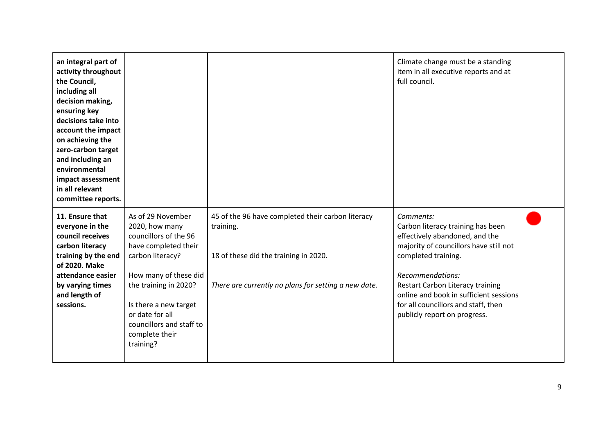| an integral part of<br>activity throughout<br>the Council,<br>including all<br>decision making,<br>ensuring key<br>decisions take into<br>account the impact<br>on achieving the<br>zero-carbon target<br>and including an<br>environmental<br>impact assessment<br>in all relevant<br>committee reports. |                                                                                                                                                                                                                                                                   |                                                                                                                                                                 | Climate change must be a standing<br>item in all executive reports and at<br>full council.                                                                                                                                                                                                                                        |  |
|-----------------------------------------------------------------------------------------------------------------------------------------------------------------------------------------------------------------------------------------------------------------------------------------------------------|-------------------------------------------------------------------------------------------------------------------------------------------------------------------------------------------------------------------------------------------------------------------|-----------------------------------------------------------------------------------------------------------------------------------------------------------------|-----------------------------------------------------------------------------------------------------------------------------------------------------------------------------------------------------------------------------------------------------------------------------------------------------------------------------------|--|
| 11. Ensure that<br>everyone in the<br>council receives<br>carbon literacy<br>training by the end<br>of 2020. Make<br>attendance easier<br>by varying times<br>and length of<br>sessions.                                                                                                                  | As of 29 November<br>2020, how many<br>councillors of the 96<br>have completed their<br>carbon literacy?<br>How many of these did<br>the training in 2020?<br>Is there a new target<br>or date for all<br>councillors and staff to<br>complete their<br>training? | 45 of the 96 have completed their carbon literacy<br>training.<br>18 of these did the training in 2020.<br>There are currently no plans for setting a new date. | Comments:<br>Carbon literacy training has been<br>effectively abandoned, and the<br>majority of councillors have still not<br>completed training.<br>Recommendations:<br><b>Restart Carbon Literacy training</b><br>online and book in sufficient sessions<br>for all councillors and staff, then<br>publicly report on progress. |  |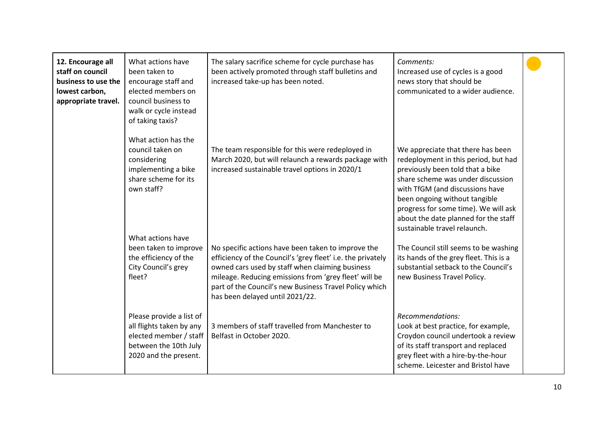| 12. Encourage all<br>staff on council<br>business to use the<br>lowest carbon,<br>appropriate travel. | What actions have<br>been taken to<br>encourage staff and<br>elected members on<br>council business to<br>walk or cycle instead<br>of taking taxis? | The salary sacrifice scheme for cycle purchase has<br>been actively promoted through staff bulletins and<br>increased take-up has been noted.                                                                                                                                                                              | Comments:<br>Increased use of cycles is a good<br>news story that should be<br>communicated to a wider audience.                                                                                                                                                                                                                       |  |
|-------------------------------------------------------------------------------------------------------|-----------------------------------------------------------------------------------------------------------------------------------------------------|----------------------------------------------------------------------------------------------------------------------------------------------------------------------------------------------------------------------------------------------------------------------------------------------------------------------------|----------------------------------------------------------------------------------------------------------------------------------------------------------------------------------------------------------------------------------------------------------------------------------------------------------------------------------------|--|
|                                                                                                       | What action has the<br>council taken on<br>considering<br>implementing a bike<br>share scheme for its<br>own staff?                                 | The team responsible for this were redeployed in<br>March 2020, but will relaunch a rewards package with<br>increased sustainable travel options in 2020/1                                                                                                                                                                 | We appreciate that there has been<br>redeployment in this period, but had<br>previously been told that a bike<br>share scheme was under discussion<br>with TfGM (and discussions have<br>been ongoing without tangible<br>progress for some time). We will ask<br>about the date planned for the staff<br>sustainable travel relaunch. |  |
|                                                                                                       | What actions have<br>been taken to improve<br>the efficiency of the<br>City Council's grey<br>fleet?                                                | No specific actions have been taken to improve the<br>efficiency of the Council's 'grey fleet' i.e. the privately<br>owned cars used by staff when claiming business<br>mileage. Reducing emissions from 'grey fleet' will be<br>part of the Council's new Business Travel Policy which<br>has been delayed until 2021/22. | The Council still seems to be washing<br>its hands of the grey fleet. This is a<br>substantial setback to the Council's<br>new Business Travel Policy.                                                                                                                                                                                 |  |
|                                                                                                       | Please provide a list of<br>all flights taken by any<br>elected member / staff<br>between the 10th July<br>2020 and the present.                    | 3 members of staff travelled from Manchester to<br>Belfast in October 2020.                                                                                                                                                                                                                                                | Recommendations:<br>Look at best practice, for example,<br>Croydon council undertook a review<br>of its staff transport and replaced<br>grey fleet with a hire-by-the-hour<br>scheme. Leicester and Bristol have                                                                                                                       |  |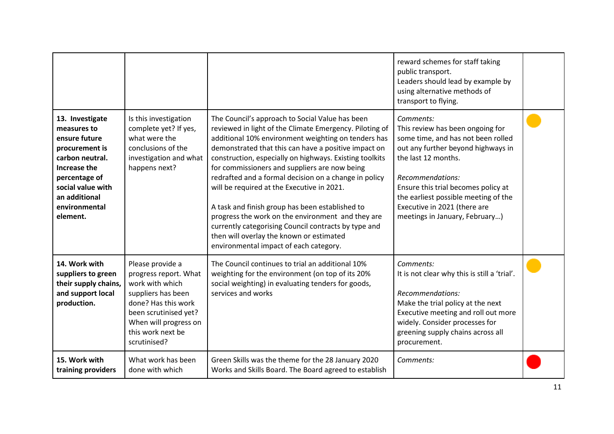|                                                                                                                                                                                          |                                                                                                                                                                                                  |                                                                                                                                                                                                                                                                                                                                                                                                                                                                                                                                                                                                                                                                                                    | reward schemes for staff taking<br>public transport.<br>Leaders should lead by example by<br>using alternative methods of<br>transport to flying.                                                                                                                                                                     |  |
|------------------------------------------------------------------------------------------------------------------------------------------------------------------------------------------|--------------------------------------------------------------------------------------------------------------------------------------------------------------------------------------------------|----------------------------------------------------------------------------------------------------------------------------------------------------------------------------------------------------------------------------------------------------------------------------------------------------------------------------------------------------------------------------------------------------------------------------------------------------------------------------------------------------------------------------------------------------------------------------------------------------------------------------------------------------------------------------------------------------|-----------------------------------------------------------------------------------------------------------------------------------------------------------------------------------------------------------------------------------------------------------------------------------------------------------------------|--|
| 13. Investigate<br>measures to<br>ensure future<br>procurement is<br>carbon neutral.<br>Increase the<br>percentage of<br>social value with<br>an additional<br>environmental<br>element. | Is this investigation<br>complete yet? If yes,<br>what were the<br>conclusions of the<br>investigation and what<br>happens next?                                                                 | The Council's approach to Social Value has been<br>reviewed in light of the Climate Emergency. Piloting of<br>additional 10% environment weighting on tenders has<br>demonstrated that this can have a positive impact on<br>construction, especially on highways. Existing toolkits<br>for commissioners and suppliers are now being<br>redrafted and a formal decision on a change in policy<br>will be required at the Executive in 2021.<br>A task and finish group has been established to<br>progress the work on the environment and they are<br>currently categorising Council contracts by type and<br>then will overlay the known or estimated<br>environmental impact of each category. | Comments:<br>This review has been ongoing for<br>some time, and has not been rolled<br>out any further beyond highways in<br>the last 12 months.<br>Recommendations:<br>Ensure this trial becomes policy at<br>the earliest possible meeting of the<br>Executive in 2021 (there are<br>meetings in January, February) |  |
| 14. Work with<br>suppliers to green<br>their supply chains,<br>and support local<br>production.                                                                                          | Please provide a<br>progress report. What<br>work with which<br>suppliers has been<br>done? Has this work<br>been scrutinised yet?<br>When will progress on<br>this work next be<br>scrutinised? | The Council continues to trial an additional 10%<br>weighting for the environment (on top of its 20%<br>social weighting) in evaluating tenders for goods,<br>services and works                                                                                                                                                                                                                                                                                                                                                                                                                                                                                                                   | Comments:<br>It is not clear why this is still a 'trial'.<br>Recommendations:<br>Make the trial policy at the next<br>Executive meeting and roll out more<br>widely. Consider processes for<br>greening supply chains across all<br>procurement.                                                                      |  |
| 15. Work with<br>training providers                                                                                                                                                      | What work has been<br>done with which                                                                                                                                                            | Green Skills was the theme for the 28 January 2020<br>Works and Skills Board. The Board agreed to establish                                                                                                                                                                                                                                                                                                                                                                                                                                                                                                                                                                                        | Comments:                                                                                                                                                                                                                                                                                                             |  |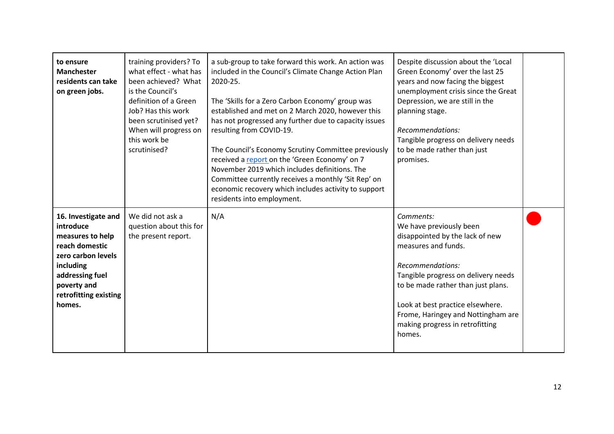| to ensure<br><b>Manchester</b><br>residents can take<br>on green jobs.                                                                                                         | training providers? To<br>what effect - what has<br>been achieved? What<br>is the Council's<br>definition of a Green<br>Job? Has this work<br>been scrutinised yet?<br>When will progress on<br>this work be<br>scrutinised? | a sub-group to take forward this work. An action was<br>included in the Council's Climate Change Action Plan<br>2020-25.<br>The 'Skills for a Zero Carbon Economy' group was<br>established and met on 2 March 2020, however this<br>has not progressed any further due to capacity issues<br>resulting from COVID-19.<br>The Council's Economy Scrutiny Committee previously<br>received a report on the 'Green Economy' on 7<br>November 2019 which includes definitions. The<br>Committee currently receives a monthly 'Sit Rep' on<br>economic recovery which includes activity to support<br>residents into employment. | Despite discussion about the 'Local<br>Green Economy' over the last 25<br>years and now facing the biggest<br>unemployment crisis since the Great<br>Depression, we are still in the<br>planning stage.<br>Recommendations:<br>Tangible progress on delivery needs<br>to be made rather than just<br>promises.         |  |
|--------------------------------------------------------------------------------------------------------------------------------------------------------------------------------|------------------------------------------------------------------------------------------------------------------------------------------------------------------------------------------------------------------------------|------------------------------------------------------------------------------------------------------------------------------------------------------------------------------------------------------------------------------------------------------------------------------------------------------------------------------------------------------------------------------------------------------------------------------------------------------------------------------------------------------------------------------------------------------------------------------------------------------------------------------|------------------------------------------------------------------------------------------------------------------------------------------------------------------------------------------------------------------------------------------------------------------------------------------------------------------------|--|
| 16. Investigate and<br>introduce<br>measures to help<br>reach domestic<br>zero carbon levels<br>including<br>addressing fuel<br>poverty and<br>retrofitting existing<br>homes. | We did not ask a<br>question about this for<br>the present report.                                                                                                                                                           | N/A                                                                                                                                                                                                                                                                                                                                                                                                                                                                                                                                                                                                                          | Comments:<br>We have previously been<br>disappointed by the lack of new<br>measures and funds.<br>Recommendations:<br>Tangible progress on delivery needs<br>to be made rather than just plans.<br>Look at best practice elsewhere.<br>Frome, Haringey and Nottingham are<br>making progress in retrofitting<br>homes. |  |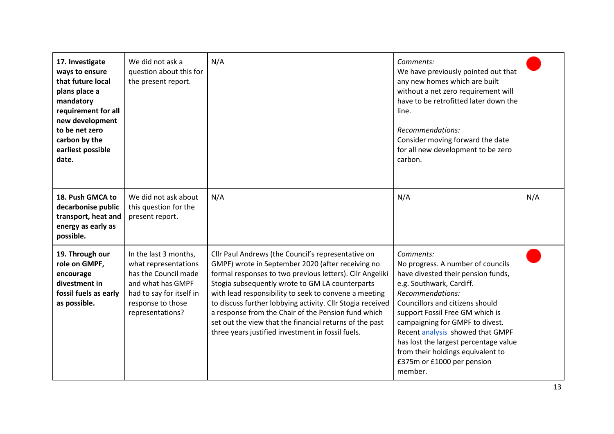| 17. Investigate<br>ways to ensure<br>that future local<br>plans place a<br>mandatory<br>requirement for all<br>new development<br>to be net zero<br>carbon by the<br>earliest possible<br>date. | We did not ask a<br>question about this for<br>the present report.                                                                                              | N/A                                                                                                                                                                                                                                                                                                                                                                                                                                                                                                                  | Comments:<br>We have previously pointed out that<br>any new homes which are built<br>without a net zero requirement will<br>have to be retrofitted later down the<br>line.<br>Recommendations:<br>Consider moving forward the date<br>for all new development to be zero<br>carbon.                                                                                                                      |     |
|-------------------------------------------------------------------------------------------------------------------------------------------------------------------------------------------------|-----------------------------------------------------------------------------------------------------------------------------------------------------------------|----------------------------------------------------------------------------------------------------------------------------------------------------------------------------------------------------------------------------------------------------------------------------------------------------------------------------------------------------------------------------------------------------------------------------------------------------------------------------------------------------------------------|----------------------------------------------------------------------------------------------------------------------------------------------------------------------------------------------------------------------------------------------------------------------------------------------------------------------------------------------------------------------------------------------------------|-----|
| 18. Push GMCA to<br>decarbonise public<br>transport, heat and<br>energy as early as<br>possible.                                                                                                | We did not ask about<br>this question for the<br>present report.                                                                                                | N/A                                                                                                                                                                                                                                                                                                                                                                                                                                                                                                                  | N/A                                                                                                                                                                                                                                                                                                                                                                                                      | N/A |
| 19. Through our<br>role on GMPF,<br>encourage<br>divestment in<br>fossil fuels as early<br>as possible.                                                                                         | In the last 3 months,<br>what representations<br>has the Council made<br>and what has GMPF<br>had to say for itself in<br>response to those<br>representations? | Cllr Paul Andrews (the Council's representative on<br>GMPF) wrote in September 2020 (after receiving no<br>formal responses to two previous letters). Cllr Angeliki<br>Stogia subsequently wrote to GM LA counterparts<br>with lead responsibility to seek to convene a meeting<br>to discuss further lobbying activity. Cllr Stogia received<br>a response from the Chair of the Pension fund which<br>set out the view that the financial returns of the past<br>three years justified investment in fossil fuels. | Comments:<br>No progress. A number of councils<br>have divested their pension funds,<br>e.g. Southwark, Cardiff.<br>Recommendations:<br>Councillors and citizens should<br>support Fossil Free GM which is<br>campaigning for GMPF to divest.<br>Recent analysis showed that GMPF<br>has lost the largest percentage value<br>from their holdings equivalent to<br>£375m or £1000 per pension<br>member. |     |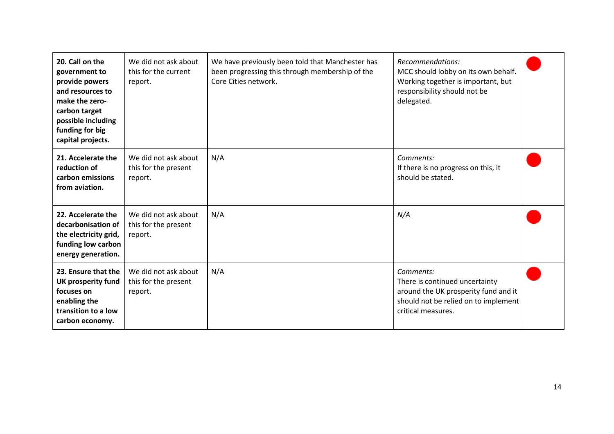| 20. Call on the<br>government to<br>provide powers<br>and resources to<br>make the zero-<br>carbon target<br>possible including<br>funding for big<br>capital projects. | We did not ask about<br>this for the current<br>report. | We have previously been told that Manchester has<br>been progressing this through membership of the<br>Core Cities network. | Recommendations:<br>MCC should lobby on its own behalf.<br>Working together is important, but<br>responsibility should not be<br>delegated.       |  |
|-------------------------------------------------------------------------------------------------------------------------------------------------------------------------|---------------------------------------------------------|-----------------------------------------------------------------------------------------------------------------------------|---------------------------------------------------------------------------------------------------------------------------------------------------|--|
| 21. Accelerate the<br>reduction of<br>carbon emissions<br>from aviation.                                                                                                | We did not ask about<br>this for the present<br>report. | N/A                                                                                                                         | Comments:<br>If there is no progress on this, it<br>should be stated.                                                                             |  |
| 22. Accelerate the<br>decarbonisation of<br>the electricity grid,<br>funding low carbon<br>energy generation.                                                           | We did not ask about<br>this for the present<br>report. | N/A                                                                                                                         | N/A                                                                                                                                               |  |
| 23. Ensure that the<br><b>UK prosperity fund</b><br>focuses on<br>enabling the<br>transition to a low<br>carbon economy.                                                | We did not ask about<br>this for the present<br>report. | N/A                                                                                                                         | Comments:<br>There is continued uncertainty<br>around the UK prosperity fund and it<br>should not be relied on to implement<br>critical measures. |  |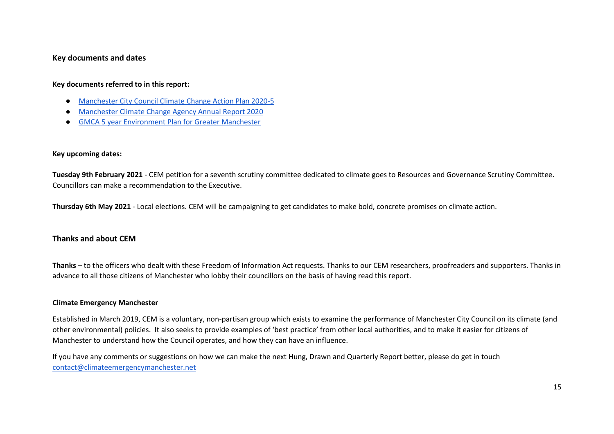#### **Key documents and dates**

#### **Key documents referred to in this report:**

- [Manchester City Council Climate](https://democracy.manchester.gov.uk/documents/s16275/Final%20MCC%20Climate%20Change%20Action%20Plan%202020-25.pdf) Change Action Plan 2020-5
- [Manchester Climate Change Agency Annual Report 2020](https://www.manchesterclimate.com/sites/default/files/Mcr%20Climate%20Change%20Annual%20Report%202020%20Single%20Pages.pdf)
- GMCA 5 [year Environment Plan for Greater Manchester](https://www.greatermanchester-ca.gov.uk/media/1975/5_year_plan_exec_summ_digital.pdf)

#### **Key upcoming dates:**

**Tuesday 9th February 2021** - CEM petition for a seventh scrutiny committee dedicated to climate goes to Resources and Governance Scrutiny Committee. Councillors can make a recommendation to the Executive.

**Thursday 6th May 2021** - Local elections. CEM will be campaigning to get candidates to make bold, concrete promises on climate action.

#### <span id="page-14-0"></span>**Thanks and about CEM**

**Thanks** – to the officers who dealt with these Freedom of Information Act requests. Thanks to our CEM researchers, proofreaders and supporters. Thanks in advance to all those citizens of Manchester who lobby their councillors on the basis of having read this report.

#### **Climate Emergency Manchester**

Established in March 2019, CEM is a voluntary, non-partisan group which exists to examine the performance of Manchester City Council on its climate (and other environmental) policies. It also seeks to provide examples of 'best practice' from other local authorities, and to make it easier for citizens of Manchester to understand how the Council operates, and how they can have an influence.

<span id="page-14-1"></span>If you have any comments or suggestions on how we can make the next Hung, Drawn and Quarterly Report better, please do get in touch contact@climateemergencymanchester.net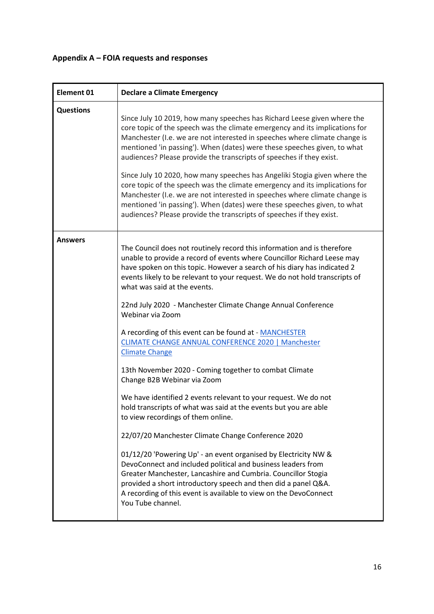# <span id="page-15-0"></span>**Appendix A – FOIA requests and responses**

| <b>Element 01</b> | <b>Declare a Climate Emergency</b>                                                                                                                                                                                                                                                                                                                                                                                                                                                                                                                                                                                                                                                                                                                                                                                                                                                                                                                                                                                                                                                                                                                                                                                                                                            |
|-------------------|-------------------------------------------------------------------------------------------------------------------------------------------------------------------------------------------------------------------------------------------------------------------------------------------------------------------------------------------------------------------------------------------------------------------------------------------------------------------------------------------------------------------------------------------------------------------------------------------------------------------------------------------------------------------------------------------------------------------------------------------------------------------------------------------------------------------------------------------------------------------------------------------------------------------------------------------------------------------------------------------------------------------------------------------------------------------------------------------------------------------------------------------------------------------------------------------------------------------------------------------------------------------------------|
| <b>Questions</b>  | Since July 10 2019, how many speeches has Richard Leese given where the<br>core topic of the speech was the climate emergency and its implications for<br>Manchester (I.e. we are not interested in speeches where climate change is<br>mentioned 'in passing'). When (dates) were these speeches given, to what<br>audiences? Please provide the transcripts of speeches if they exist.<br>Since July 10 2020, how many speeches has Angeliki Stogia given where the<br>core topic of the speech was the climate emergency and its implications for<br>Manchester (I.e. we are not interested in speeches where climate change is<br>mentioned 'in passing'). When (dates) were these speeches given, to what<br>audiences? Please provide the transcripts of speeches if they exist.                                                                                                                                                                                                                                                                                                                                                                                                                                                                                        |
| <b>Answers</b>    | The Council does not routinely record this information and is therefore<br>unable to provide a record of events where Councillor Richard Leese may<br>have spoken on this topic. However a search of his diary has indicated 2<br>events likely to be relevant to your request. We do not hold transcripts of<br>what was said at the events.<br>22nd July 2020 - Manchester Climate Change Annual Conference<br>Webinar via Zoom<br>A recording of this event can be found at - MANCHESTER<br><b>CLIMATE CHANGE ANNUAL CONFERENCE 2020   Manchester</b><br><b>Climate Change</b><br>13th November 2020 - Coming together to combat Climate<br>Change B2B Webinar via Zoom<br>We have identified 2 events relevant to your request. We do not<br>hold transcripts of what was said at the events but you are able<br>to view recordings of them online.<br>22/07/20 Manchester Climate Change Conference 2020<br>01/12/20 'Powering Up' - an event organised by Electricity NW &<br>DevoConnect and included political and business leaders from<br>Greater Manchester, Lancashire and Cumbria. Councillor Stogia<br>provided a short introductory speech and then did a panel Q&A.<br>A recording of this event is available to view on the DevoConnect<br>You Tube channel. |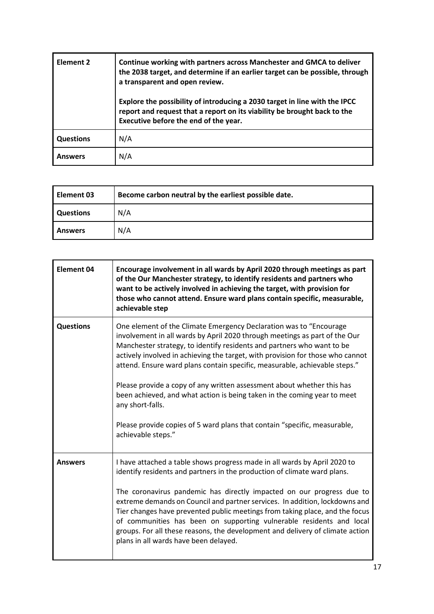| <b>Element 2</b> | Continue working with partners across Manchester and GMCA to deliver<br>the 2038 target, and determine if an earlier target can be possible, through<br>a transparent and open review.          |
|------------------|-------------------------------------------------------------------------------------------------------------------------------------------------------------------------------------------------|
|                  | Explore the possibility of introducing a 2030 target in line with the IPCC<br>report and request that a report on its viability be brought back to the<br>Executive before the end of the year. |
| <b>Questions</b> | N/A                                                                                                                                                                                             |
| <b>Answers</b>   | N/A                                                                                                                                                                                             |

| l Element 03     | Become carbon neutral by the earliest possible date. |
|------------------|------------------------------------------------------|
| <b>Questions</b> | N/A                                                  |
| <b>Answers</b>   | N/A                                                  |

| <b>Element 04</b> | Encourage involvement in all wards by April 2020 through meetings as part<br>of the Our Manchester strategy, to identify residents and partners who<br>want to be actively involved in achieving the target, with provision for<br>those who cannot attend. Ensure ward plans contain specific, measurable,<br>achievable step                                                                                                                                                                                                                                                                                                                                          |
|-------------------|-------------------------------------------------------------------------------------------------------------------------------------------------------------------------------------------------------------------------------------------------------------------------------------------------------------------------------------------------------------------------------------------------------------------------------------------------------------------------------------------------------------------------------------------------------------------------------------------------------------------------------------------------------------------------|
| <b>Questions</b>  | One element of the Climate Emergency Declaration was to "Encourage<br>involvement in all wards by April 2020 through meetings as part of the Our<br>Manchester strategy, to identify residents and partners who want to be<br>actively involved in achieving the target, with provision for those who cannot<br>attend. Ensure ward plans contain specific, measurable, achievable steps."<br>Please provide a copy of any written assessment about whether this has<br>been achieved, and what action is being taken in the coming year to meet<br>any short-falls.<br>Please provide copies of 5 ward plans that contain "specific, measurable,<br>achievable steps." |
| <b>Answers</b>    | I have attached a table shows progress made in all wards by April 2020 to<br>identify residents and partners in the production of climate ward plans.<br>The coronavirus pandemic has directly impacted on our progress due to<br>extreme demands on Council and partner services. In addition, lockdowns and<br>Tier changes have prevented public meetings from taking place, and the focus<br>of communities has been on supporting vulnerable residents and local<br>groups. For all these reasons, the development and delivery of climate action<br>plans in all wards have been delayed.                                                                         |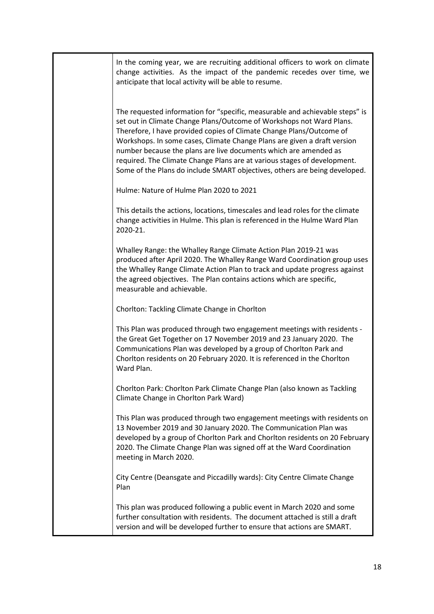| In the coming year, we are recruiting additional officers to work on climate<br>change activities. As the impact of the pandemic recedes over time, we<br>anticipate that local activity will be able to resume.                                                                                                                                                                                                                                                                                                                       |
|----------------------------------------------------------------------------------------------------------------------------------------------------------------------------------------------------------------------------------------------------------------------------------------------------------------------------------------------------------------------------------------------------------------------------------------------------------------------------------------------------------------------------------------|
| The requested information for "specific, measurable and achievable steps" is<br>set out in Climate Change Plans/Outcome of Workshops not Ward Plans.<br>Therefore, I have provided copies of Climate Change Plans/Outcome of<br>Workshops. In some cases, Climate Change Plans are given a draft version<br>number because the plans are live documents which are amended as<br>required. The Climate Change Plans are at various stages of development.<br>Some of the Plans do include SMART objectives, others are being developed. |
| Hulme: Nature of Hulme Plan 2020 to 2021                                                                                                                                                                                                                                                                                                                                                                                                                                                                                               |
| This details the actions, locations, timescales and lead roles for the climate<br>change activities in Hulme. This plan is referenced in the Hulme Ward Plan<br>2020-21.                                                                                                                                                                                                                                                                                                                                                               |
| Whalley Range: the Whalley Range Climate Action Plan 2019-21 was<br>produced after April 2020. The Whalley Range Ward Coordination group uses<br>the Whalley Range Climate Action Plan to track and update progress against<br>the agreed objectives. The Plan contains actions which are specific,<br>measurable and achievable.                                                                                                                                                                                                      |
| Chorlton: Tackling Climate Change in Chorlton                                                                                                                                                                                                                                                                                                                                                                                                                                                                                          |
| This Plan was produced through two engagement meetings with residents -<br>the Great Get Together on 17 November 2019 and 23 January 2020. The<br>Communications Plan was developed by a group of Chorlton Park and<br>Chorlton residents on 20 February 2020. It is referenced in the Chorlton<br>Ward Plan.                                                                                                                                                                                                                          |
| Chorlton Park: Chorlton Park Climate Change Plan (also known as Tackling<br>Climate Change in Chorlton Park Ward)                                                                                                                                                                                                                                                                                                                                                                                                                      |
| This Plan was produced through two engagement meetings with residents on<br>13 November 2019 and 30 January 2020. The Communication Plan was<br>developed by a group of Chorlton Park and Chorlton residents on 20 February<br>2020. The Climate Change Plan was signed off at the Ward Coordination<br>meeting in March 2020.                                                                                                                                                                                                         |
| City Centre (Deansgate and Piccadilly wards): City Centre Climate Change<br>Plan                                                                                                                                                                                                                                                                                                                                                                                                                                                       |
| This plan was produced following a public event in March 2020 and some<br>further consultation with residents. The document attached is still a draft<br>version and will be developed further to ensure that actions are SMART.                                                                                                                                                                                                                                                                                                       |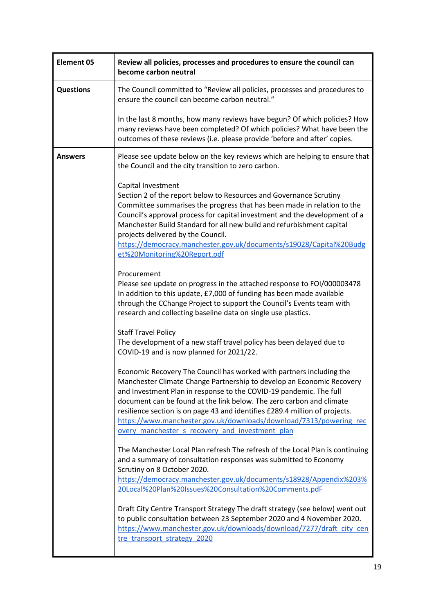| <b>Element 05</b> | Review all policies, processes and procedures to ensure the council can<br>become carbon neutral                                                                                                                                                                                                                                                                                                                                                                                                    |
|-------------------|-----------------------------------------------------------------------------------------------------------------------------------------------------------------------------------------------------------------------------------------------------------------------------------------------------------------------------------------------------------------------------------------------------------------------------------------------------------------------------------------------------|
| <b>Questions</b>  | The Council committed to "Review all policies, processes and procedures to<br>ensure the council can become carbon neutral."                                                                                                                                                                                                                                                                                                                                                                        |
|                   | In the last 8 months, how many reviews have begun? Of which policies? How<br>many reviews have been completed? Of which policies? What have been the<br>outcomes of these reviews (i.e. please provide 'before and after' copies.                                                                                                                                                                                                                                                                   |
| <b>Answers</b>    | Please see update below on the key reviews which are helping to ensure that<br>the Council and the city transition to zero carbon.                                                                                                                                                                                                                                                                                                                                                                  |
|                   | Capital Investment<br>Section 2 of the report below to Resources and Governance Scrutiny<br>Committee summarises the progress that has been made in relation to the<br>Council's approval process for capital investment and the development of a<br>Manchester Build Standard for all new build and refurbishment capital<br>projects delivered by the Council.<br>https://democracy.manchester.gov.uk/documents/s19028/Capital%20Budg<br>et%20Monitoring%20Report.pdf                             |
|                   | Procurement<br>Please see update on progress in the attached response to FOI/000003478<br>In addition to this update, £7,000 of funding has been made available<br>through the CChange Project to support the Council's Events team with<br>research and collecting baseline data on single use plastics.                                                                                                                                                                                           |
|                   | <b>Staff Travel Policy</b><br>The development of a new staff travel policy has been delayed due to<br>COVID-19 and is now planned for 2021/22.                                                                                                                                                                                                                                                                                                                                                      |
|                   | Economic Recovery The Council has worked with partners including the<br>Manchester Climate Change Partnership to develop an Economic Recovery<br>and Investment Plan in response to the COVID-19 pandemic. The full<br>document can be found at the link below. The zero carbon and climate<br>resilience section is on page 43 and identifies £289.4 million of projects.<br>https://www.manchester.gov.uk/downloads/download/7313/powering_rec<br>overy manchester s recovery and investment plan |
|                   | The Manchester Local Plan refresh The refresh of the Local Plan is continuing<br>and a summary of consultation responses was submitted to Economy<br>Scrutiny on 8 October 2020.<br>https://democracy.manchester.gov.uk/documents/s18928/Appendix%203%<br>20Local%20Plan%20Issues%20Consultation%20Comments.pdF                                                                                                                                                                                     |
|                   | Draft City Centre Transport Strategy The draft strategy (see below) went out<br>to public consultation between 23 September 2020 and 4 November 2020.<br>https://www.manchester.gov.uk/downloads/download/7277/draft city cen<br>tre transport strategy 2020                                                                                                                                                                                                                                        |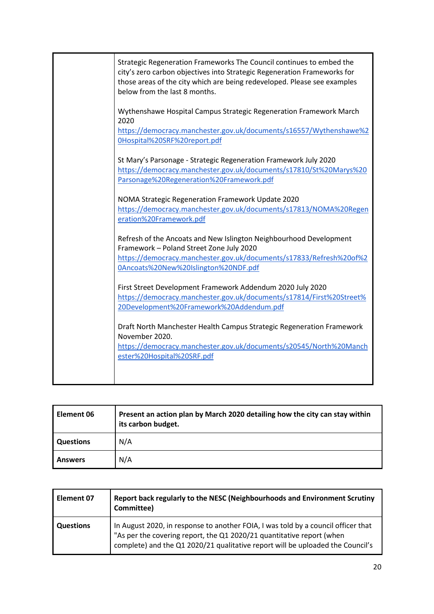| Strategic Regeneration Frameworks The Council continues to embed the<br>city's zero carbon objectives into Strategic Regeneration Frameworks for<br>those areas of the city which are being redeveloped. Please see examples<br>below from the last 8 months. |
|---------------------------------------------------------------------------------------------------------------------------------------------------------------------------------------------------------------------------------------------------------------|
| Wythenshawe Hospital Campus Strategic Regeneration Framework March<br>2020<br>https://democracy.manchester.gov.uk/documents/s16557/Wythenshawe%2                                                                                                              |
| 0Hospital%20SRF%20report.pdf                                                                                                                                                                                                                                  |
| St Mary's Parsonage - Strategic Regeneration Framework July 2020<br>https://democracy.manchester.gov.uk/documents/s17810/St%20Marys%20<br>Parsonage%20Regeneration%20Framework.pdf                                                                            |
| NOMA Strategic Regeneration Framework Update 2020<br>https://democracy.manchester.gov.uk/documents/s17813/NOMA%20Regen<br>eration%20Framework.pdf                                                                                                             |
| Refresh of the Ancoats and New Islington Neighbourhood Development<br>Framework - Poland Street Zone July 2020                                                                                                                                                |
| https://democracy.manchester.gov.uk/documents/s17833/Refresh%20of%2<br>0Ancoats%20New%20Islington%20NDF.pdf                                                                                                                                                   |
| First Street Development Framework Addendum 2020 July 2020<br>https://democracy.manchester.gov.uk/documents/s17814/First%20Street%<br>20Development%20Framework%20Addendum.pdf                                                                                |
| Draft North Manchester Health Campus Strategic Regeneration Framework<br>November 2020.                                                                                                                                                                       |
| https://democracy.manchester.gov.uk/documents/s20545/North%20Manch<br>ester%20Hospital%20SRF.pdf                                                                                                                                                              |
|                                                                                                                                                                                                                                                               |

| Element 06       | Present an action plan by March 2020 detailing how the city can stay within<br>its carbon budget. |
|------------------|---------------------------------------------------------------------------------------------------|
| <b>Questions</b> | N/A                                                                                               |
| <b>Answers</b>   | N/A                                                                                               |

| Element 07       | Report back regularly to the NESC (Neighbourhoods and Environment Scrutiny<br>Committee)                                                                                                                                                     |
|------------------|----------------------------------------------------------------------------------------------------------------------------------------------------------------------------------------------------------------------------------------------|
| <b>Questions</b> | In August 2020, in response to another FOIA, I was told by a council officer that<br>"As per the covering report, the Q1 2020/21 quantitative report (when<br>complete) and the Q1 2020/21 qualitative report will be uploaded the Council's |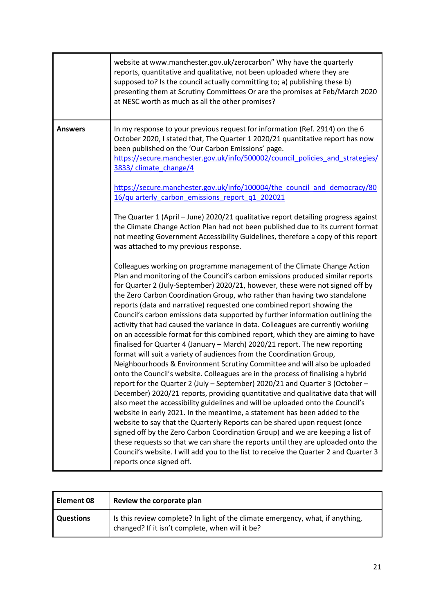|                | website at www.manchester.gov.uk/zerocarbon" Why have the quarterly<br>reports, quantitative and qualitative, not been uploaded where they are<br>supposed to? Is the council actually committing to; a) publishing these b)<br>presenting them at Scrutiny Committees Or are the promises at Feb/March 2020<br>at NESC worth as much as all the other promises?                                                                                                                                                                                                                                                                                                                                                                                                                                                                                                                                                                                                                                                                                                                                                                                                                                                                                                                                                                                                                                                                                                                                                                                                                                                                                                                             |
|----------------|----------------------------------------------------------------------------------------------------------------------------------------------------------------------------------------------------------------------------------------------------------------------------------------------------------------------------------------------------------------------------------------------------------------------------------------------------------------------------------------------------------------------------------------------------------------------------------------------------------------------------------------------------------------------------------------------------------------------------------------------------------------------------------------------------------------------------------------------------------------------------------------------------------------------------------------------------------------------------------------------------------------------------------------------------------------------------------------------------------------------------------------------------------------------------------------------------------------------------------------------------------------------------------------------------------------------------------------------------------------------------------------------------------------------------------------------------------------------------------------------------------------------------------------------------------------------------------------------------------------------------------------------------------------------------------------------|
| <b>Answers</b> | In my response to your previous request for information (Ref. 2914) on the 6<br>October 2020, I stated that, The Quarter 1 2020/21 quantitative report has now<br>been published on the 'Our Carbon Emissions' page.<br>https://secure.manchester.gov.uk/info/500002/council policies and strategies/<br>3833/ climate change/4                                                                                                                                                                                                                                                                                                                                                                                                                                                                                                                                                                                                                                                                                                                                                                                                                                                                                                                                                                                                                                                                                                                                                                                                                                                                                                                                                              |
|                | https://secure.manchester.gov.uk/info/100004/the council and democracy/80<br>16/qu arterly carbon emissions report q1 202021                                                                                                                                                                                                                                                                                                                                                                                                                                                                                                                                                                                                                                                                                                                                                                                                                                                                                                                                                                                                                                                                                                                                                                                                                                                                                                                                                                                                                                                                                                                                                                 |
|                | The Quarter 1 (April - June) 2020/21 qualitative report detailing progress against<br>the Climate Change Action Plan had not been published due to its current format<br>not meeting Government Accessibility Guidelines, therefore a copy of this report<br>was attached to my previous response.                                                                                                                                                                                                                                                                                                                                                                                                                                                                                                                                                                                                                                                                                                                                                                                                                                                                                                                                                                                                                                                                                                                                                                                                                                                                                                                                                                                           |
|                | Colleagues working on programme management of the Climate Change Action<br>Plan and monitoring of the Council's carbon emissions produced similar reports<br>for Quarter 2 (July-September) 2020/21, however, these were not signed off by<br>the Zero Carbon Coordination Group, who rather than having two standalone<br>reports (data and narrative) requested one combined report showing the<br>Council's carbon emissions data supported by further information outlining the<br>activity that had caused the variance in data. Colleagues are currently working<br>on an accessible format for this combined report, which they are aiming to have<br>finalised for Quarter 4 (January - March) 2020/21 report. The new reporting<br>format will suit a variety of audiences from the Coordination Group,<br>Neighbourhoods & Environment Scrutiny Committee and will also be uploaded<br>onto the Council's website. Colleagues are in the process of finalising a hybrid<br>report for the Quarter 2 (July – September) 2020/21 and Quarter 3 (October –<br>December) 2020/21 reports, providing quantitative and qualitative data that will<br>also meet the accessibility guidelines and will be uploaded onto the Council's<br>website in early 2021. In the meantime, a statement has been added to the<br>website to say that the Quarterly Reports can be shared upon request (once<br>signed off by the Zero Carbon Coordination Group) and we are keeping a list of<br>these requests so that we can share the reports until they are uploaded onto the<br>Council's website. I will add you to the list to receive the Quarter 2 and Quarter 3<br>reports once signed off. |

| Element 08       | Review the corporate plan                                                                                                         |
|------------------|-----------------------------------------------------------------------------------------------------------------------------------|
| <b>Questions</b> | Is this review complete? In light of the climate emergency, what, if anything,<br>changed? If it isn't complete, when will it be? |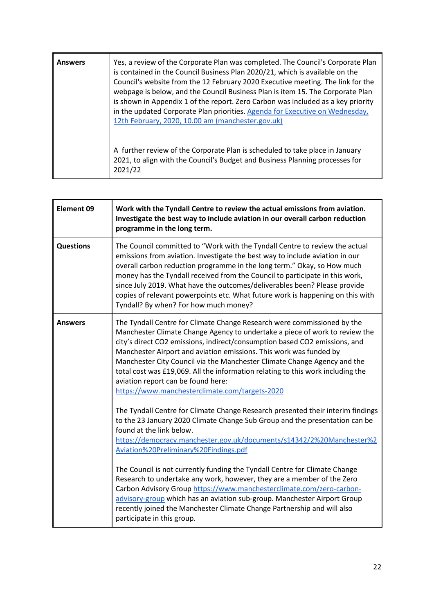| <b>Answers</b> | Yes, a review of the Corporate Plan was completed. The Council's Corporate Plan<br>is contained in the Council Business Plan 2020/21, which is available on the<br>Council's website from the 12 February 2020 Executive meeting. The link for the<br>webpage is below, and the Council Business Plan is item 15. The Corporate Plan<br>is shown in Appendix 1 of the report. Zero Carbon was included as a key priority<br>in the updated Corporate Plan priorities. Agenda for Executive on Wednesday,<br>12th February, 2020, 10.00 am (manchester.gov.uk) |
|----------------|---------------------------------------------------------------------------------------------------------------------------------------------------------------------------------------------------------------------------------------------------------------------------------------------------------------------------------------------------------------------------------------------------------------------------------------------------------------------------------------------------------------------------------------------------------------|
|                | A further review of the Corporate Plan is scheduled to take place in January<br>2021, to align with the Council's Budget and Business Planning processes for<br>2021/22                                                                                                                                                                                                                                                                                                                                                                                       |

| <b>Element 09</b> | Work with the Tyndall Centre to review the actual emissions from aviation.<br>Investigate the best way to include aviation in our overall carbon reduction<br>programme in the long term.                                                                                                                                                                                                                                                                                                                                                                                                                                                                                                                                         |  |
|-------------------|-----------------------------------------------------------------------------------------------------------------------------------------------------------------------------------------------------------------------------------------------------------------------------------------------------------------------------------------------------------------------------------------------------------------------------------------------------------------------------------------------------------------------------------------------------------------------------------------------------------------------------------------------------------------------------------------------------------------------------------|--|
| <b>Questions</b>  | The Council committed to "Work with the Tyndall Centre to review the actual<br>emissions from aviation. Investigate the best way to include aviation in our<br>overall carbon reduction programme in the long term." Okay, so How much<br>money has the Tyndall received from the Council to participate in this work,<br>since July 2019. What have the outcomes/deliverables been? Please provide<br>copies of relevant powerpoints etc. What future work is happening on this with<br>Tyndall? By when? For how much money?                                                                                                                                                                                                    |  |
| <b>Answers</b>    | The Tyndall Centre for Climate Change Research were commissioned by the<br>Manchester Climate Change Agency to undertake a piece of work to review the<br>city's direct CO2 emissions, indirect/consumption based CO2 emissions, and<br>Manchester Airport and aviation emissions. This work was funded by<br>Manchester City Council via the Manchester Climate Change Agency and the<br>total cost was £19,069. All the information relating to this work including the<br>aviation report can be found here:<br>https://www.manchesterclimate.com/targets-2020                                                                                                                                                                 |  |
|                   | The Tyndall Centre for Climate Change Research presented their interim findings<br>to the 23 January 2020 Climate Change Sub Group and the presentation can be<br>found at the link below.<br>https://democracy.manchester.gov.uk/documents/s14342/2%20Manchester%2<br>Aviation%20Preliminary%20Findings.pdf<br>The Council is not currently funding the Tyndall Centre for Climate Change<br>Research to undertake any work, however, they are a member of the Zero<br>Carbon Advisory Group https://www.manchesterclimate.com/zero-carbon-<br>advisory-group which has an aviation sub-group. Manchester Airport Group<br>recently joined the Manchester Climate Change Partnership and will also<br>participate in this group. |  |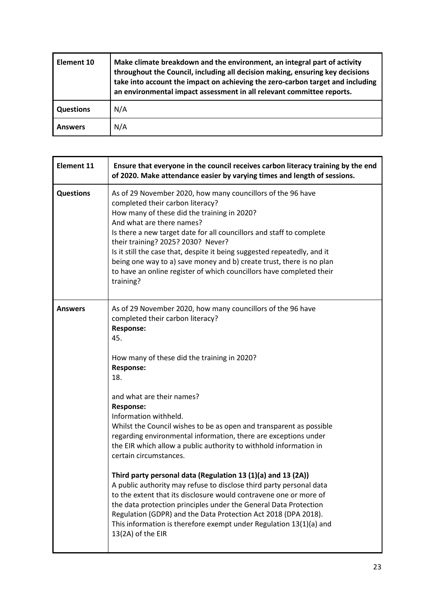| Element 10       | Make climate breakdown and the environment, an integral part of activity<br>throughout the Council, including all decision making, ensuring key decisions<br>take into account the impact on achieving the zero-carbon target and including<br>an environmental impact assessment in all relevant committee reports. |
|------------------|----------------------------------------------------------------------------------------------------------------------------------------------------------------------------------------------------------------------------------------------------------------------------------------------------------------------|
| <b>Questions</b> | N/A                                                                                                                                                                                                                                                                                                                  |
| <b>Answers</b>   | N/A                                                                                                                                                                                                                                                                                                                  |

| <b>Element 11</b> | Ensure that everyone in the council receives carbon literacy training by the end<br>of 2020. Make attendance easier by varying times and length of sessions.                                                                                                                                                                                                                                                                                                                                                                       |
|-------------------|------------------------------------------------------------------------------------------------------------------------------------------------------------------------------------------------------------------------------------------------------------------------------------------------------------------------------------------------------------------------------------------------------------------------------------------------------------------------------------------------------------------------------------|
| <b>Questions</b>  | As of 29 November 2020, how many councillors of the 96 have<br>completed their carbon literacy?<br>How many of these did the training in 2020?<br>And what are there names?<br>Is there a new target date for all councillors and staff to complete<br>their training? 2025? 2030? Never?<br>Is it still the case that, despite it being suggested repeatedly, and it<br>being one way to a) save money and b) create trust, there is no plan<br>to have an online register of which councillors have completed their<br>training? |
| <b>Answers</b>    | As of 29 November 2020, how many councillors of the 96 have<br>completed their carbon literacy?<br><b>Response:</b><br>45.<br>How many of these did the training in 2020?<br><b>Response:</b><br>18.                                                                                                                                                                                                                                                                                                                               |
|                   | and what are their names?<br><b>Response:</b><br>Information withheld.<br>Whilst the Council wishes to be as open and transparent as possible<br>regarding environmental information, there are exceptions under<br>the EIR which allow a public authority to withhold information in<br>certain circumstances.                                                                                                                                                                                                                    |
|                   | Third party personal data (Regulation 13 (1)(a) and 13 (2A))<br>A public authority may refuse to disclose third party personal data<br>to the extent that its disclosure would contravene one or more of<br>the data protection principles under the General Data Protection<br>Regulation (GDPR) and the Data Protection Act 2018 (DPA 2018).<br>This information is therefore exempt under Regulation 13(1)(a) and<br>13(2A) of the EIR                                                                                          |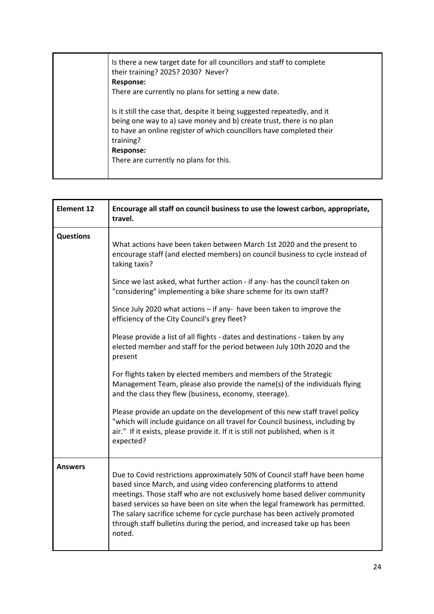| Is there a new target date for all councillors and staff to complete<br>their training? 2025? 2030? Never?<br><b>Response:</b><br>There are currently no plans for setting a new date.                                                                                                              |
|-----------------------------------------------------------------------------------------------------------------------------------------------------------------------------------------------------------------------------------------------------------------------------------------------------|
| Is it still the case that, despite it being suggested repeatedly, and it<br>being one way to a) save money and b) create trust, there is no plan<br>to have an online register of which councillors have completed their<br>training?<br><b>Response:</b><br>There are currently no plans for this. |

| <b>Element 12</b> | Encourage all staff on council business to use the lowest carbon, appropriate,<br>travel.                                                                                                                                                                                                                                                                                                                                                                                           |
|-------------------|-------------------------------------------------------------------------------------------------------------------------------------------------------------------------------------------------------------------------------------------------------------------------------------------------------------------------------------------------------------------------------------------------------------------------------------------------------------------------------------|
| <b>Questions</b>  | What actions have been taken between March 1st 2020 and the present to<br>encourage staff (and elected members) on council business to cycle instead of<br>taking taxis?                                                                                                                                                                                                                                                                                                            |
|                   | Since we last asked, what further action - if any- has the council taken on<br>"considering" implementing a bike share scheme for its own staff?                                                                                                                                                                                                                                                                                                                                    |
|                   | Since July 2020 what actions - if any- have been taken to improve the<br>efficiency of the City Council's grey fleet?                                                                                                                                                                                                                                                                                                                                                               |
|                   | Please provide a list of all flights - dates and destinations - taken by any<br>elected member and staff for the period between July 10th 2020 and the<br>present                                                                                                                                                                                                                                                                                                                   |
|                   | For flights taken by elected members and members of the Strategic<br>Management Team, please also provide the name(s) of the individuals flying<br>and the class they flew (business, economy, steerage).                                                                                                                                                                                                                                                                           |
|                   | Please provide an update on the development of this new staff travel policy<br>"which will include guidance on all travel for Council business, including by<br>air." If it exists, please provide it. If it is still not published, when is it<br>expected?                                                                                                                                                                                                                        |
| Answers           | Due to Covid restrictions approximately 50% of Council staff have been home<br>based since March, and using video conferencing platforms to attend<br>meetings. Those staff who are not exclusively home based deliver community<br>based services so have been on site when the legal framework has permitted.<br>The salary sacrifice scheme for cycle purchase has been actively promoted<br>through staff bulletins during the period, and increased take up has been<br>noted. |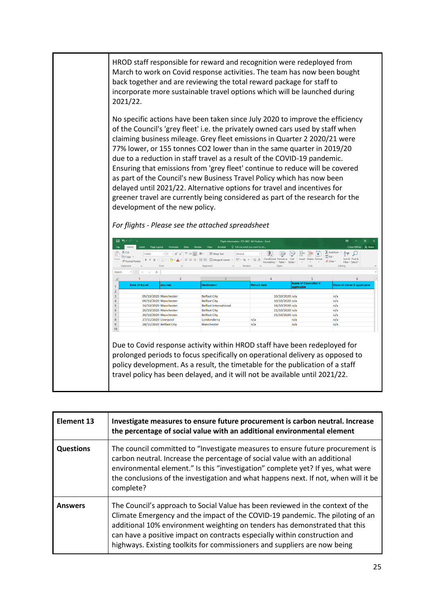HROD staff responsible for reward and recognition were redeployed from March to work on Covid response activities. The team has now been bought back together and are reviewing the total reward package for staff to incorporate more sustainable travel options which will be launched during 2021/22.

No specific actions have been taken since July 2020 to improve the efficiency of the Council's 'grey fleet' i.e. the privately owned cars used by staff when claiming business mileage. Grey fleet emissions in Quarter 2 2020/21 were 77% lower, or 155 tonnes CO2 lower than in the same quarter in 2019/20 due to a reduction in staff travel as a result of the COVID-19 pandemic. Ensuring that emissions from 'grey fleet' continue to reduce will be covered as part of the Council's new Business Travel Policy which has now been delayed until 2021/22. Alternative options for travel and incentives for greener travel are currently being considered as part of the research for the development of the new policy.

|  |  | For flights - Please see the attached spreadsheet |  |
|--|--|---------------------------------------------------|--|
|--|--|---------------------------------------------------|--|

|       | 日 ちゃっしょ                                                                                |                                                                                                                                                                                                                                                                | Flight information- FOI 3487- Mr Hudson - Excel                                       |                                                                                    |                                                                                  | 囨<br>σ<br>$\times$                                                                                                                   |
|-------|----------------------------------------------------------------------------------------|----------------------------------------------------------------------------------------------------------------------------------------------------------------------------------------------------------------------------------------------------------------|---------------------------------------------------------------------------------------|------------------------------------------------------------------------------------|----------------------------------------------------------------------------------|--------------------------------------------------------------------------------------------------------------------------------------|
| File  | Page Layout<br>Insert<br>Home                                                          | Formulas<br>Data<br>Review                                                                                                                                                                                                                                     | Q Tell me what you want to do<br>Acrobat<br>View                                      |                                                                                    |                                                                                  | Chloe Jeffries Q. Share                                                                                                              |
| Paste | X Cut<br>Calibri<br><b>Fig Copy</b> +<br>Format Painter<br>Clipboard<br>$\overline{M}$ | $\overline{=}$ $\equiv$ $\frac{1}{2}$ $\frac{1}{2}$<br>$+11 + A^A A$<br><b>B</b> <i>I</i> <u>U</u> - $\mathbf{B} \cdot \mathbf{A}$ - $\mathbf{B} = \mathbf{B}$ $\mathbf{E}$ $\mathbf{B}$ $\mathbf{B}$ $\mathbf{C}$ and $\mathbf{C}$<br>Font<br>$\overline{12}$ | Wrap Text<br>General<br>$\frac{1}{2}$ + % +<br>Alignment<br>Number<br>$\overline{12}$ | ₩<br>Conditional Format as Cell<br>$+0.00$<br>Formatting * Table *<br>Styles<br>r. | Ë<br>$\mathbb{R}^{\times}$<br>في<br>Delete Format<br>Insert<br>Styles -<br>Cells | $\sum$ AutoSum<br>$\Delta \rightarrow$<br>$\overline{\downarrow}$ Fill +<br>Sort & Find &<br>Clear *<br>Filter - Select -<br>Editing |
| R16C3 | $\mathbf{v}$ . The set of $\mathbf{v}$<br>$\times$<br>$\checkmark$<br>fx               |                                                                                                                                                                                                                                                                |                                                                                       |                                                                                    |                                                                                  |                                                                                                                                      |
|       |                                                                                        | $\overline{2}$                                                                                                                                                                                                                                                 | R                                                                                     | 4                                                                                  | 5                                                                                | 6<br>i a                                                                                                                             |
|       | Date of travel                                                                         | <b>Journey</b>                                                                                                                                                                                                                                                 | <b>Destination</b>                                                                    | <b>Return date</b>                                                                 | <b>Name of Councillor if</b><br>applicable                                       | <b>Class of travel if applicable</b>                                                                                                 |
| 2     |                                                                                        |                                                                                                                                                                                                                                                                |                                                                                       |                                                                                    |                                                                                  |                                                                                                                                      |
| 3     |                                                                                        | 09/10/2020 Manchester                                                                                                                                                                                                                                          | <b>Belfast City</b>                                                                   | 10/10/2020 n/a                                                                     |                                                                                  | n/a                                                                                                                                  |
| 4     |                                                                                        | 09/10/2020 Manchester                                                                                                                                                                                                                                          | <b>Belfast City</b>                                                                   | 10/10/2020 n/a                                                                     |                                                                                  | n/a                                                                                                                                  |
| 5     |                                                                                        | 16/10/2020 Manchester                                                                                                                                                                                                                                          | <b>Belfast International</b>                                                          | 16/10/2020 n/a                                                                     |                                                                                  | n/a                                                                                                                                  |
| 6     |                                                                                        | 20/10/2020 Manchester                                                                                                                                                                                                                                          | <b>Belfast City</b>                                                                   | 21/10/2020 n/a                                                                     |                                                                                  | n/a                                                                                                                                  |
|       |                                                                                        | 20/10/2020 Manchester                                                                                                                                                                                                                                          | <b>Belfast City</b>                                                                   | 21/10/2020 n/a                                                                     |                                                                                  | n/a                                                                                                                                  |
| 8     | 27/11/2020 Liverpool                                                                   |                                                                                                                                                                                                                                                                | Londonderry                                                                           | n/a                                                                                | n/a                                                                              | n/a                                                                                                                                  |
| 9     |                                                                                        | 28/11/2020 Belfast City                                                                                                                                                                                                                                        | Manchester                                                                            | n/a                                                                                | n/a                                                                              | n/a                                                                                                                                  |
|       |                                                                                        |                                                                                                                                                                                                                                                                |                                                                                       |                                                                                    |                                                                                  |                                                                                                                                      |

Due to Covid response activity within HROD staff have been redeployed for prolonged periods to focus specifically on operational delivery as opposed to policy development. As a result, the timetable for the publication of a staff travel policy has been delayed, and it will not be available until 2021/22.

| Element 13       | Investigate measures to ensure future procurement is carbon neutral. Increase<br>the percentage of social value with an additional environmental element                                                                                                                                                                                                                                                 |
|------------------|----------------------------------------------------------------------------------------------------------------------------------------------------------------------------------------------------------------------------------------------------------------------------------------------------------------------------------------------------------------------------------------------------------|
| <b>Questions</b> | The council committed to "Investigate measures to ensure future procurement is<br>carbon neutral. Increase the percentage of social value with an additional<br>environmental element." Is this "investigation" complete yet? If yes, what were<br>the conclusions of the investigation and what happens next. If not, when will it be<br>complete?                                                      |
| <b>Answers</b>   | The Council's approach to Social Value has been reviewed in the context of the<br>Climate Emergency and the impact of the COVID-19 pandemic. The piloting of an<br>additional 10% environment weighting on tenders has demonstrated that this<br>can have a positive impact on contracts especially within construction and<br>highways. Existing toolkits for commissioners and suppliers are now being |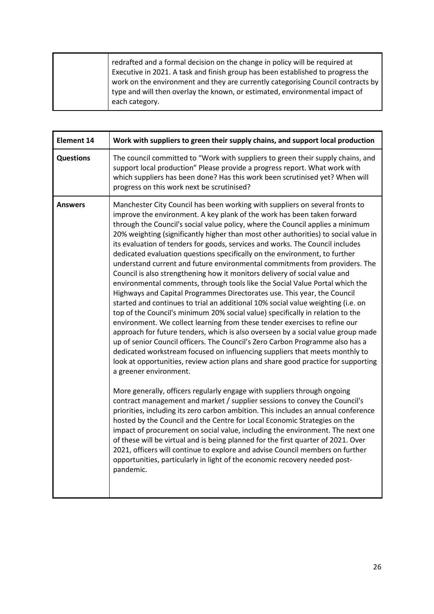| redrafted and a formal decision on the change in policy will be required at<br>Executive in 2021. A task and finish group has been established to progress the<br>work on the environment and they are currently categorising Council contracts by<br>type and will then overlay the known, or estimated, environmental impact of<br>each category. |
|-----------------------------------------------------------------------------------------------------------------------------------------------------------------------------------------------------------------------------------------------------------------------------------------------------------------------------------------------------|
|                                                                                                                                                                                                                                                                                                                                                     |

| <b>Element 14</b> | Work with suppliers to green their supply chains, and support local production                                                                                                                                                                                                                                                                                                                                                                                                                                                                                                                                                                                                                                                                                                                                                                                                                                                                                                                                                                                                                                                                                                                                                                                                                                                                                                                                                                  |
|-------------------|-------------------------------------------------------------------------------------------------------------------------------------------------------------------------------------------------------------------------------------------------------------------------------------------------------------------------------------------------------------------------------------------------------------------------------------------------------------------------------------------------------------------------------------------------------------------------------------------------------------------------------------------------------------------------------------------------------------------------------------------------------------------------------------------------------------------------------------------------------------------------------------------------------------------------------------------------------------------------------------------------------------------------------------------------------------------------------------------------------------------------------------------------------------------------------------------------------------------------------------------------------------------------------------------------------------------------------------------------------------------------------------------------------------------------------------------------|
| <b>Questions</b>  | The council committed to "Work with suppliers to green their supply chains, and<br>support local production" Please provide a progress report. What work with<br>which suppliers has been done? Has this work been scrutinised yet? When will<br>progress on this work next be scrutinised?                                                                                                                                                                                                                                                                                                                                                                                                                                                                                                                                                                                                                                                                                                                                                                                                                                                                                                                                                                                                                                                                                                                                                     |
| <b>Answers</b>    | Manchester City Council has been working with suppliers on several fronts to<br>improve the environment. A key plank of the work has been taken forward<br>through the Council's social value policy, where the Council applies a minimum<br>20% weighting (significantly higher than most other authorities) to social value in<br>its evaluation of tenders for goods, services and works. The Council includes<br>dedicated evaluation questions specifically on the environment, to further<br>understand current and future environmental commitments from providers. The<br>Council is also strengthening how it monitors delivery of social value and<br>environmental comments, through tools like the Social Value Portal which the<br>Highways and Capital Programmes Directorates use. This year, the Council<br>started and continues to trial an additional 10% social value weighting (i.e. on<br>top of the Council's minimum 20% social value) specifically in relation to the<br>environment. We collect learning from these tender exercises to refine our<br>approach for future tenders, which is also overseen by a social value group made<br>up of senior Council officers. The Council's Zero Carbon Programme also has a<br>dedicated workstream focused on influencing suppliers that meets monthly to<br>look at opportunities, review action plans and share good practice for supporting<br>a greener environment. |
|                   | More generally, officers regularly engage with suppliers through ongoing<br>contract management and market / supplier sessions to convey the Council's<br>priorities, including its zero carbon ambition. This includes an annual conference<br>hosted by the Council and the Centre for Local Economic Strategies on the<br>impact of procurement on social value, including the environment. The next one<br>of these will be virtual and is being planned for the first quarter of 2021. Over<br>2021, officers will continue to explore and advise Council members on further<br>opportunities, particularly in light of the economic recovery needed post-<br>pandemic.                                                                                                                                                                                                                                                                                                                                                                                                                                                                                                                                                                                                                                                                                                                                                                    |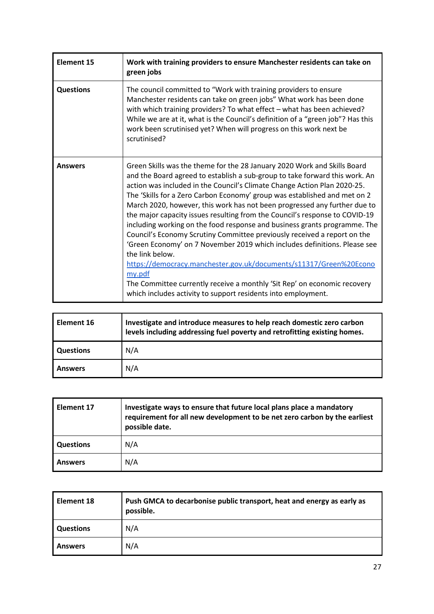| <b>Element 15</b> | Work with training providers to ensure Manchester residents can take on<br>green jobs                                                                                                                                                                                                                                                                                                                                                                                                                                                                                                                                                                                                                                                                                                                                                                                                                                                                              |
|-------------------|--------------------------------------------------------------------------------------------------------------------------------------------------------------------------------------------------------------------------------------------------------------------------------------------------------------------------------------------------------------------------------------------------------------------------------------------------------------------------------------------------------------------------------------------------------------------------------------------------------------------------------------------------------------------------------------------------------------------------------------------------------------------------------------------------------------------------------------------------------------------------------------------------------------------------------------------------------------------|
| <b>Questions</b>  | The council committed to "Work with training providers to ensure<br>Manchester residents can take on green jobs" What work has been done<br>with which training providers? To what effect - what has been achieved?<br>While we are at it, what is the Council's definition of a "green job"? Has this<br>work been scrutinised yet? When will progress on this work next be<br>scrutinised?                                                                                                                                                                                                                                                                                                                                                                                                                                                                                                                                                                       |
| <b>Answers</b>    | Green Skills was the theme for the 28 January 2020 Work and Skills Board<br>and the Board agreed to establish a sub-group to take forward this work. An<br>action was included in the Council's Climate Change Action Plan 2020-25.<br>The 'Skills for a Zero Carbon Economy' group was established and met on 2<br>March 2020, however, this work has not been progressed any further due to<br>the major capacity issues resulting from the Council's response to COVID-19<br>including working on the food response and business grants programme. The<br>Council's Economy Scrutiny Committee previously received a report on the<br>'Green Economy' on 7 November 2019 which includes definitions. Please see<br>the link below.<br>https://democracy.manchester.gov.uk/documents/s11317/Green%20Econo<br>my.pdf<br>The Committee currently receive a monthly 'Sit Rep' on economic recovery<br>which includes activity to support residents into employment. |

| Element 16       | Investigate and introduce measures to help reach domestic zero carbon<br>levels including addressing fuel poverty and retrofitting existing homes. |
|------------------|----------------------------------------------------------------------------------------------------------------------------------------------------|
| <b>Questions</b> | N/A                                                                                                                                                |
| <b>Answers</b>   | N/A                                                                                                                                                |

| Element 17       | Investigate ways to ensure that future local plans place a mandatory<br>requirement for all new development to be net zero carbon by the earliest<br>possible date. |
|------------------|---------------------------------------------------------------------------------------------------------------------------------------------------------------------|
| <b>Questions</b> | N/A                                                                                                                                                                 |
| <b>Answers</b>   | N/A                                                                                                                                                                 |

| Element 18       | Push GMCA to decarbonise public transport, heat and energy as early as<br>possible. |
|------------------|-------------------------------------------------------------------------------------|
| <b>Questions</b> | N/A                                                                                 |
| <b>Answers</b>   | N/A                                                                                 |